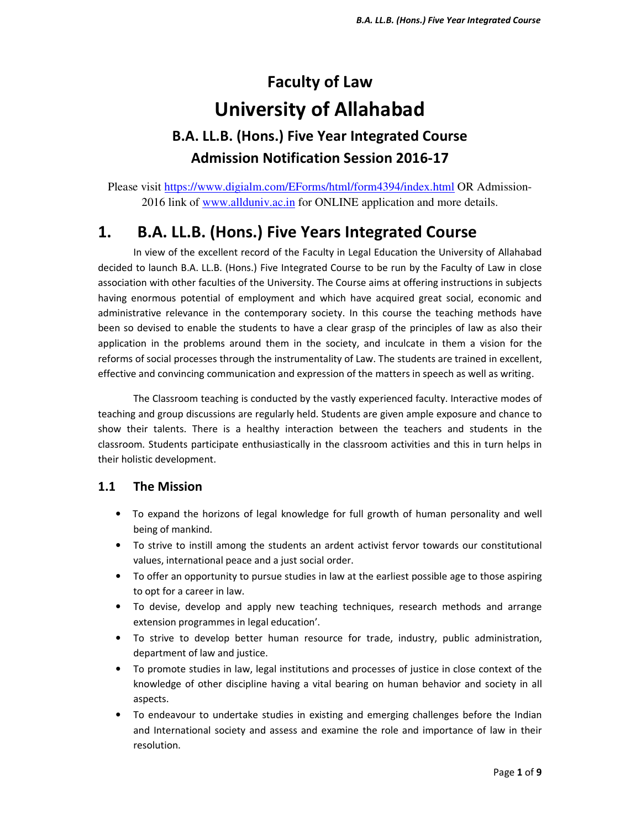# **Faculty of Law University of Allahabad**

## **B.A. LL.B. (Hons.) Five Year Integrated Course Admission Notification Session 2016-17**

Please visit https://www.digialm.com/EForms/html/form4394/index.html OR Admission-2016 link of www.allduniv.ac.in for ONLINE application and more details.

## **1. B.A. LL.B. (Hons.) Five Years Integrated Course**

 In view of the excellent record of the Faculty in Legal Education the University of Allahabad decided to launch B.A. LL.B. (Hons.) Five Integrated Course to be run by the Faculty of Law in close association with other faculties of the University. The Course aims at offering instructions in subjects having enormous potential of employment and which have acquired great social, economic and administrative relevance in the contemporary society. In this course the teaching methods have been so devised to enable the students to have a clear grasp of the principles of law as also their application in the problems around them in the society, and inculcate in them a vision for the reforms of social processes through the instrumentality of Law. The students are trained in excellent, effective and convincing communication and expression of the matters in speech as well as writing.

 The Classroom teaching is conducted by the vastly experienced faculty. Interactive modes of teaching and group discussions are regularly held. Students are given ample exposure and chance to show their talents. There is a healthy interaction between the teachers and students in the classroom. Students participate enthusiastically in the classroom activities and this in turn helps in their holistic development.

### **1.1 The Mission**

- To expand the horizons of legal knowledge for full growth of human personality and well being of mankind.
- To strive to instill among the students an ardent activist fervor towards our constitutional values, international peace and a just social order.
- To offer an opportunity to pursue studies in law at the earliest possible age to those aspiring to opt for a career in law.
- To devise, develop and apply new teaching techniques, research methods and arrange extension programmes in legal education'.
- To strive to develop better human resource for trade, industry, public administration, department of law and justice.
- To promote studies in law, legal institutions and processes of justice in close context of the knowledge of other discipline having a vital bearing on human behavior and society in all aspects.
- To endeavour to undertake studies in existing and emerging challenges before the Indian and International society and assess and examine the role and importance of law in their resolution.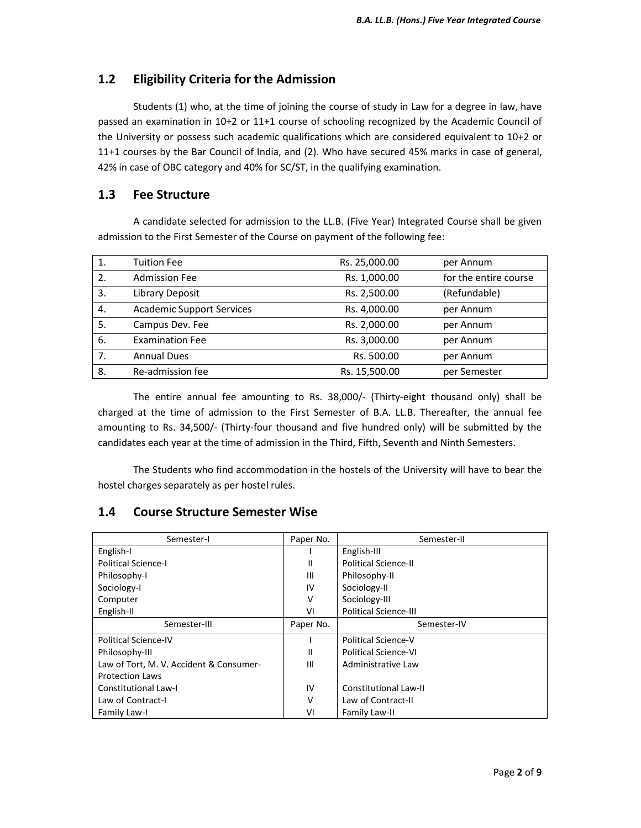## **1.2 Eligibility Criteria for the Admission**

 Students (1) who, at the time of joining the course of study in Law for a degree in law, have passed an examination in 10+2 or 11+1 course of schooling recognized by the Academic Council of the University or possess such academic qualifications which are considered equivalent to 10+2 or 11+1 courses by the Bar Council of India, and (2). Who have secured 45% marks in case of general, 42% in case of OBC category and 40% for SC/ST, in the qualifying examination.

### **1.3 Fee Structure**

 A candidate selected for admission to the LL.B. (Five Year) Integrated Course shall be given admission to the First Semester of the Course on payment of the following fee:

| 1. | <b>Tuition Fee</b>               | Rs. 25,000.00 | per Annum             |
|----|----------------------------------|---------------|-----------------------|
| 2. | <b>Admission Fee</b>             | Rs. 1,000.00  | for the entire course |
| 3. | Library Deposit                  | Rs. 2,500.00  | (Refundable)          |
| 4. | <b>Academic Support Services</b> | Rs. 4,000.00  | per Annum             |
| 5. | Campus Dev. Fee                  | Rs. 2,000.00  | per Annum             |
| 6. | <b>Examination Fee</b>           | Rs. 3,000.00  | per Annum             |
| 7. | <b>Annual Dues</b>               | Rs. 500.00    | per Annum             |
| 8. | Re-admission fee                 | Rs. 15,500.00 | per Semester          |

 The entire annual fee amounting to Rs. 38,000/- (Thirty-eight thousand only) shall be charged at the time of admission to the First Semester of B.A. LL.B. Thereafter, the annual fee amounting to Rs. 34,500/- (Thirty-four thousand and five hundred only) will be submitted by the candidates each year at the time of admission in the Third, Fifth, Seventh and Ninth Semesters.

 The Students who find accommodation in the hostels of the University will have to bear the hostel charges separately as per hostel rules.

| Semester-I                              | Paper No. | Semester-II                  |
|-----------------------------------------|-----------|------------------------------|
| English-I                               |           | English-III                  |
| <b>Political Science-I</b>              | Ш         | <b>Political Science-II</b>  |
| Philosophy-I                            | Ш         | Philosophy-II                |
| Sociology-I                             | IV        | Sociology-II                 |
| Computer                                | v         | Sociology-III                |
| English-II                              | VI        | <b>Political Science-III</b> |
| Semester-III                            | Paper No. | Semester-IV                  |
| <b>Political Science-IV</b>             |           | Political Science-V          |
| Philosophy-III                          | Ш         | <b>Political Science-VI</b>  |
| Law of Tort, M. V. Accident & Consumer- | Ш         | Administrative Law           |
| <b>Protection Laws</b>                  |           |                              |
| Constitutional Law-I                    | IV        | <b>Constitutional Law-II</b> |
| Law of Contract-                        | $\vee$    | Law of Contract-II           |
| Family Law-I                            | VI        | Family Law-II                |

### **1.4 Course Structure Semester Wise**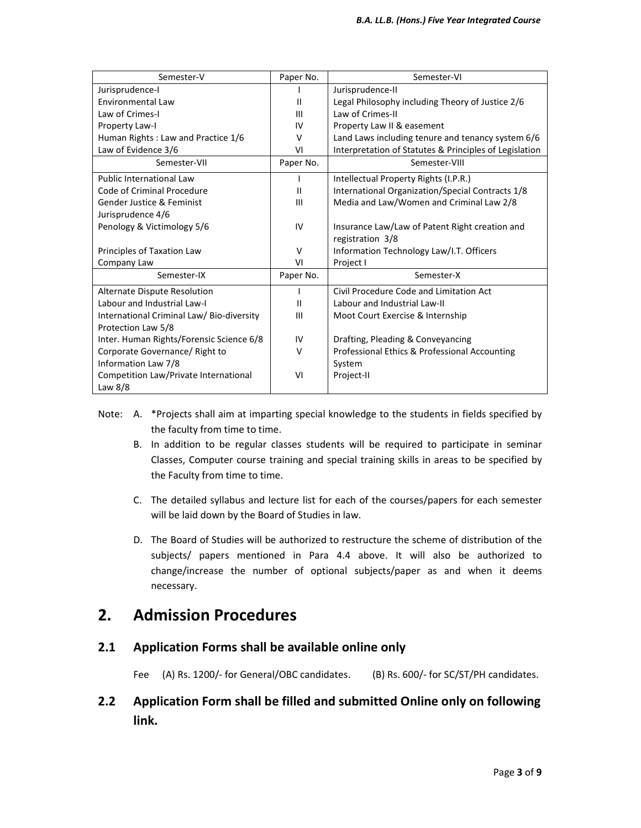| Semester-V                                | Paper No.    | Semester-VI                                            |
|-------------------------------------------|--------------|--------------------------------------------------------|
| Jurisprudence-I                           |              | Jurisprudence-II                                       |
| Environmental Law                         | $\mathbf{H}$ | Legal Philosophy including Theory of Justice 2/6       |
| Law of Crimes-I                           | Ш            | Law of Crimes-II                                       |
| Property Law-I                            | IV           | Property Law II & easement                             |
| Human Rights : Law and Practice 1/6       | $\vee$       | Land Laws including tenure and tenancy system 6/6      |
| Law of Evidence 3/6                       | VI           | Interpretation of Statutes & Principles of Legislation |
| Semester-VII                              | Paper No.    | Semester-VIII                                          |
| <b>Public International Law</b>           | L            | Intellectual Property Rights (I.P.R.)                  |
| Code of Criminal Procedure                | Ш            | International Organization/Special Contracts 1/8       |
| Gender Justice & Feminist                 | Ш            | Media and Law/Women and Criminal Law 2/8               |
| Jurisprudence 4/6                         |              |                                                        |
| Penology & Victimology 5/6                | IV           | Insurance Law/Law of Patent Right creation and         |
|                                           |              | registration 3/8                                       |
| Principles of Taxation Law                | V            | Information Technology Law/I.T. Officers               |
| Company Law                               | VI           | Project I                                              |
| Semester-IX                               | Paper No.    | Semester-X                                             |
| Alternate Dispute Resolution              |              | Civil Procedure Code and Limitation Act                |
| Labour and Industrial Law-I               | $\mathbf{H}$ | Labour and Industrial Law-II                           |
| International Criminal Law/ Bio-diversity | Ш            | Moot Court Exercise & Internship                       |
| Protection Law 5/8                        |              |                                                        |
| Inter. Human Rights/Forensic Science 6/8  | IV           | Drafting, Pleading & Conveyancing                      |
| Corporate Governance/ Right to            | $\vee$       | Professional Ethics & Professional Accounting          |
| Information Law 7/8                       |              | System                                                 |
| Competition Law/Private International     | VI           | Project-II                                             |
| Law $8/8$                                 |              |                                                        |

- Note: A. \*Projects shall aim at imparting special knowledge to the students in fields specified by the faculty from time to time.
	- B. In addition to be regular classes students will be required to participate in seminar Classes, Computer course training and special training skills in areas to be specified by the Faculty from time to time.
	- C. The detailed syllabus and lecture list for each of the courses/papers for each semester will be laid down by the Board of Studies in law.
	- D. The Board of Studies will be authorized to restructure the scheme of distribution of the subjects/ papers mentioned in Para 4.4 above. It will also be authorized to change/increase the number of optional subjects/paper as and when it deems necessary.

## **2. Admission Procedures**

### **2.1 Application Forms shall be available online only**

Fee (A) Rs. 1200/- for General/OBC candidates. (B) Rs. 600/- for SC/ST/PH candidates.

## **2.2 Application Form shall be filled and submitted Online only on following link.**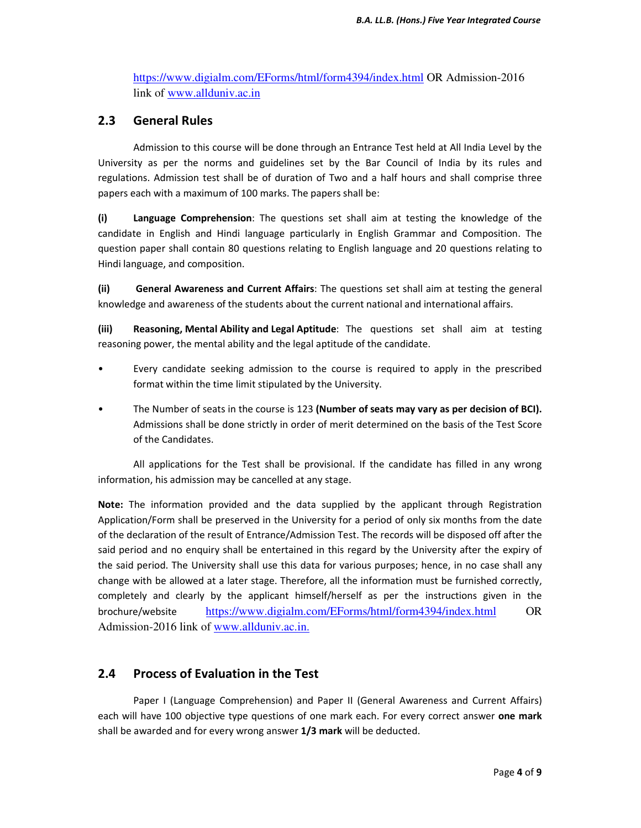https://www.digialm.com/EForms/html/form4394/index.html OR Admission-2016 link of www.allduniv.ac.in

### **2.3 General Rules**

 Admission to this course will be done through an Entrance Test held at All India Level by the University as per the norms and guidelines set by the Bar Council of India by its rules and regulations. Admission test shall be of duration of Two and a half hours and shall comprise three papers each with a maximum of 100 marks. The papers shall be:

**(i) Language Comprehension**: The questions set shall aim at testing the knowledge of the candidate in English and Hindi language particularly in English Grammar and Composition. The question paper shall contain 80 questions relating to English language and 20 questions relating to Hindi language, and composition.

**(ii) General Awareness and Current Affairs**: The questions set shall aim at testing the general knowledge and awareness of the students about the current national and international affairs.

**(iii) Reasoning, Mental Ability and Legal Aptitude**: The questions set shall aim at testing reasoning power, the mental ability and the legal aptitude of the candidate.

- Every candidate seeking admission to the course is required to apply in the prescribed format within the time limit stipulated by the University.
- The Number of seats in the course is 123 **(Number of seats may vary as per decision of BCI).** Admissions shall be done strictly in order of merit determined on the basis of the Test Score of the Candidates.

 All applications for the Test shall be provisional. If the candidate has filled in any wrong information, his admission may be cancelled at any stage.

**Note:** The information provided and the data supplied by the applicant through Registration Application/Form shall be preserved in the University for a period of only six months from the date of the declaration of the result of Entrance/Admission Test. The records will be disposed off after the said period and no enquiry shall be entertained in this regard by the University after the expiry of the said period. The University shall use this data for various purposes; hence, in no case shall any change with be allowed at a later stage. Therefore, all the information must be furnished correctly, completely and clearly by the applicant himself/herself as per the instructions given in the brochure/website https://www.digialm.com/EForms/html/form4394/index.html OR Admission-2016 link of www.allduniv.ac.in.

### **2.4 Process of Evaluation in the Test**

 Paper I (Language Comprehension) and Paper II (General Awareness and Current Affairs) each will have 100 objective type questions of one mark each. For every correct answer **one mark** shall be awarded and for every wrong answer **1/3 mark** will be deducted.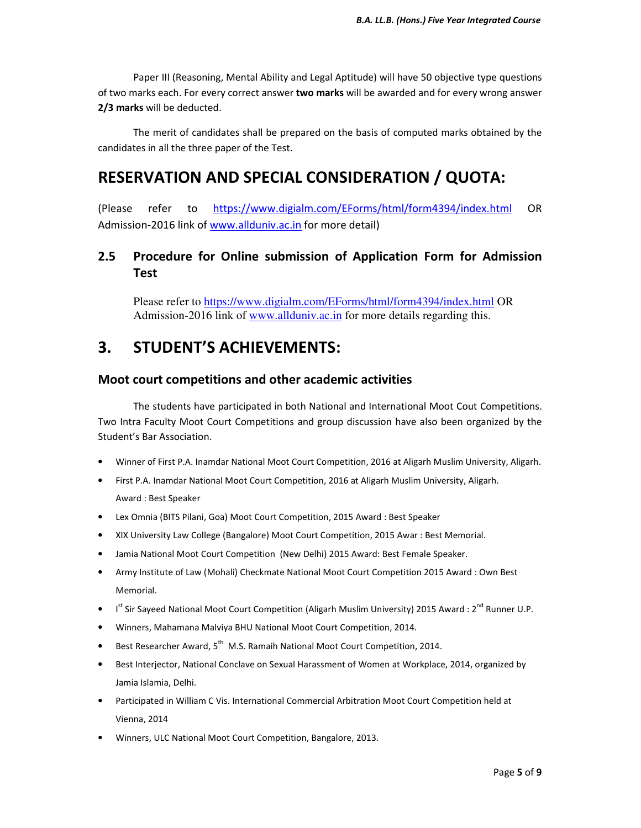Paper III (Reasoning, Mental Ability and Legal Aptitude) will have 50 objective type questions of two marks each. For every correct answer **two marks** will be awarded and for every wrong answer **2/3 marks** will be deducted.

 The merit of candidates shall be prepared on the basis of computed marks obtained by the candidates in all the three paper of the Test.

## **RESERVATION AND SPECIAL CONSIDERATION / QUOTA:**

(Please refer to https://www.digialm.com/EForms/html/form4394/index.html OR Admission-2016 link of www.allduniv.ac.in for more detail)

### **2.5 Procedure for Online submission of Application Form for Admission Test**

 Please refer to https://www.digialm.com/EForms/html/form4394/index.html OR Admission-2016 link of www.allduniv.ac.in for more details regarding this.

## **3. STUDENT'S ACHIEVEMENTS:**

### **Moot court competitions and other academic activities**

 The students have participated in both National and International Moot Cout Competitions. Two Intra Faculty Moot Court Competitions and group discussion have also been organized by the Student's Bar Association.

- Winner of First P.A. Inamdar National Moot Court Competition, 2016 at Aligarh Muslim University, Aligarh.
- First P.A. Inamdar National Moot Court Competition, 2016 at Aligarh Muslim University, Aligarh. Award : Best Speaker
- Lex Omnia (BITS Pilani, Goa) Moot Court Competition, 2015 Award : Best Speaker
- XIX University Law College (Bangalore) Moot Court Competition, 2015 Awar : Best Memorial.
- Jamia National Moot Court Competition (New Delhi) 2015 Award: Best Female Speaker.
- Army Institute of Law (Mohali) Checkmate National Moot Court Competition 2015 Award : Own Best Memorial.
- I<sup>st</sup> Sir Sayeed National Moot Court Competition (Aligarh Muslim University) 2015 Award : 2<sup>nd</sup> Runner U.P.
- Winners, Mahamana Malviya BHU National Moot Court Competition, 2014.
- Best Researcher Award, 5<sup>th</sup> M.S. Ramaih National Moot Court Competition, 2014.
- Best Interjector, National Conclave on Sexual Harassment of Women at Workplace, 2014, organized by Jamia Islamia, Delhi.
- Participated in William C Vis. International Commercial Arbitration Moot Court Competition held at Vienna, 2014
- Winners, ULC National Moot Court Competition, Bangalore, 2013.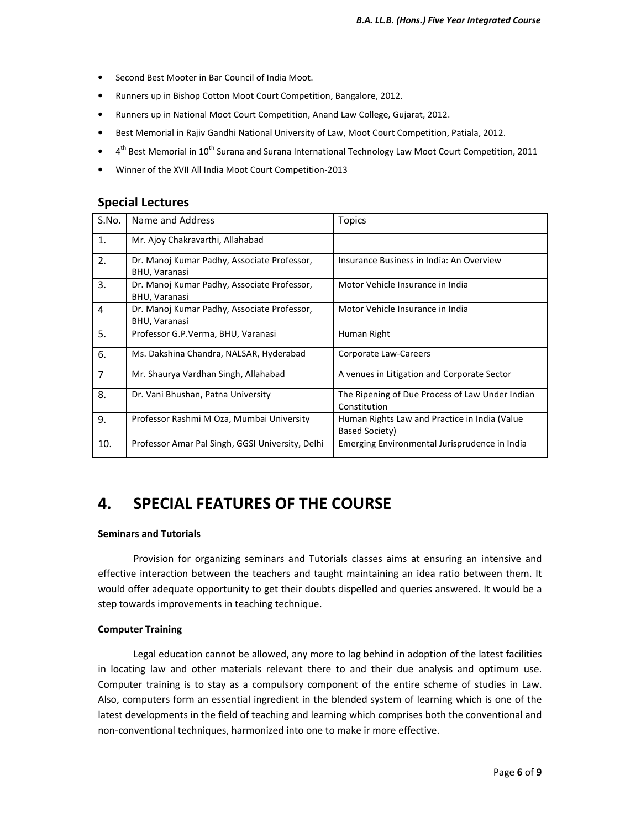- Second Best Mooter in Bar Council of India Moot.
- Runners up in Bishop Cotton Moot Court Competition, Bangalore, 2012.
- Runners up in National Moot Court Competition, Anand Law College, Gujarat, 2012.
- Best Memorial in Rajiv Gandhi National University of Law, Moot Court Competition, Patiala, 2012.
- $\bullet$  4<sup>th</sup> Best Memorial in 10<sup>th</sup> Surana and Surana International Technology Law Moot Court Competition, 2011
- Winner of the XVII All India Moot Court Competition-2013

#### **Special Lectures**

| S.No.          | Name and Address                                                    | Topics                                                          |
|----------------|---------------------------------------------------------------------|-----------------------------------------------------------------|
| 1.             | Mr. Ajoy Chakravarthi, Allahabad                                    |                                                                 |
| 2.             | Dr. Manoj Kumar Padhy, Associate Professor,<br>BHU, Varanasi        | Insurance Business in India: An Overview                        |
| 3.             | Dr. Manoj Kumar Padhy, Associate Professor,<br><b>BHU, Varanasi</b> | Motor Vehicle Insurance in India                                |
| 4              | Dr. Manoj Kumar Padhy, Associate Professor,<br><b>BHU, Varanasi</b> | Motor Vehicle Insurance in India                                |
| 5.             | Professor G.P. Verma, BHU, Varanasi                                 | Human Right                                                     |
| 6.             | Ms. Dakshina Chandra, NALSAR, Hyderabad                             | Corporate Law-Careers                                           |
| $\overline{7}$ | Mr. Shaurya Vardhan Singh, Allahabad                                | A venues in Litigation and Corporate Sector                     |
| 8.             | Dr. Vani Bhushan, Patna University                                  | The Ripening of Due Process of Law Under Indian<br>Constitution |
| 9.             | Professor Rashmi M Oza, Mumbai University                           | Human Rights Law and Practice in India (Value<br>Based Society) |
| 10.            | Professor Amar Pal Singh, GGSI University, Delhi                    | Emerging Environmental Jurisprudence in India                   |

## **4. SPECIAL FEATURES OF THE COURSE**

#### **Seminars and Tutorials**

 Provision for organizing seminars and Tutorials classes aims at ensuring an intensive and effective interaction between the teachers and taught maintaining an idea ratio between them. It would offer adequate opportunity to get their doubts dispelled and queries answered. It would be a step towards improvements in teaching technique.

#### **Computer Training**

 Legal education cannot be allowed, any more to lag behind in adoption of the latest facilities in locating law and other materials relevant there to and their due analysis and optimum use. Computer training is to stay as a compulsory component of the entire scheme of studies in Law. Also, computers form an essential ingredient in the blended system of learning which is one of the latest developments in the field of teaching and learning which comprises both the conventional and non-conventional techniques, harmonized into one to make ir more effective.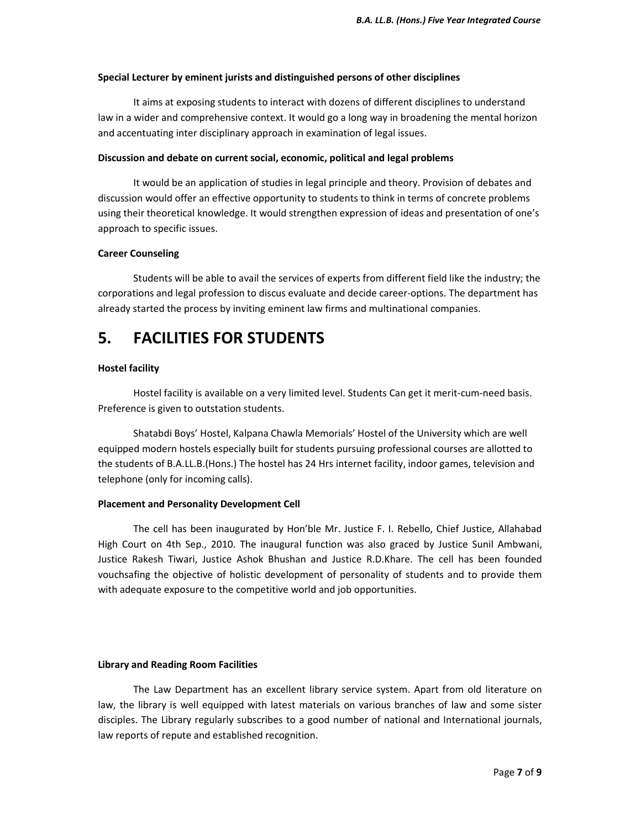#### **Special Lecturer by eminent jurists and distinguished persons of other disciplines**

 It aims at exposing students to interact with dozens of different disciplines to understand law in a wider and comprehensive context. It would go a long way in broadening the mental horizon and accentuating inter disciplinary approach in examination of legal issues.

#### **Discussion and debate on current social, economic, political and legal problems**

 It would be an application of studies in legal principle and theory. Provision of debates and discussion would offer an effective opportunity to students to think in terms of concrete problems using their theoretical knowledge. It would strengthen expression of ideas and presentation of one's approach to specific issues.

#### **Career Counseling**

 Students will be able to avail the services of experts from different field like the industry; the corporations and legal profession to discus evaluate and decide career-options. The department has already started the process by inviting eminent law firms and multinational companies.

## **5. FACILITIES FOR STUDENTS**

#### **Hostel facility**

 Hostel facility is available on a very limited level. Students Can get it merit-cum-need basis. Preference is given to outstation students.

 Shatabdi Boys' Hostel, Kalpana Chawla Memorials' Hostel of the University which are well equipped modern hostels especially built for students pursuing professional courses are allotted to the students of B.A.LL.B.(Hons.) The hostel has 24 Hrs internet facility, indoor games, television and telephone (only for incoming calls).

#### **Placement and Personality Development Cell**

 The cell has been inaugurated by Hon'ble Mr. Justice F. I. Rebello, Chief Justice, Allahabad High Court on 4th Sep., 2010. The inaugural function was also graced by Justice Sunil Ambwani, Justice Rakesh Tiwari, Justice Ashok Bhushan and Justice R.D.Khare. The cell has been founded vouchsafing the objective of holistic development of personality of students and to provide them with adequate exposure to the competitive world and job opportunities.

#### **Library and Reading Room Facilities**

 The Law Department has an excellent library service system. Apart from old literature on law, the library is well equipped with latest materials on various branches of law and some sister disciples. The Library regularly subscribes to a good number of national and International journals, law reports of repute and established recognition.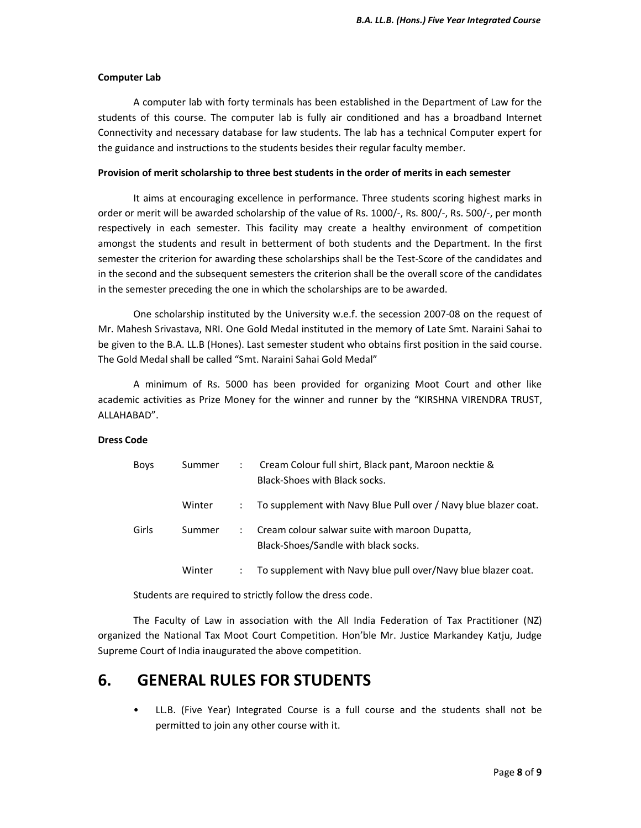#### **Computer Lab**

 A computer lab with forty terminals has been established in the Department of Law for the students of this course. The computer lab is fully air conditioned and has a broadband Internet Connectivity and necessary database for law students. The lab has a technical Computer expert for the guidance and instructions to the students besides their regular faculty member.

#### **Provision of merit scholarship to three best students in the order of merits in each semester**

 It aims at encouraging excellence in performance. Three students scoring highest marks in order or merit will be awarded scholarship of the value of Rs. 1000/-, Rs. 800/-, Rs. 500/-, per month respectively in each semester. This facility may create a healthy environment of competition amongst the students and result in betterment of both students and the Department. In the first semester the criterion for awarding these scholarships shall be the Test-Score of the candidates and in the second and the subsequent semesters the criterion shall be the overall score of the candidates in the semester preceding the one in which the scholarships are to be awarded.

 One scholarship instituted by the University w.e.f. the secession 2007-08 on the request of Mr. Mahesh Srivastava, NRI. One Gold Medal instituted in the memory of Late Smt. Naraini Sahai to be given to the B.A. LL.B (Hones). Last semester student who obtains first position in the said course. The Gold Medal shall be called "Smt. Naraini Sahai Gold Medal"

 A minimum of Rs. 5000 has been provided for organizing Moot Court and other like academic activities as Prize Money for the winner and runner by the "KIRSHNA VIRENDRA TRUST, ALLAHABAD".

#### **Dress Code**

| <b>Boys</b> | Summer | ۰. | Cream Colour full shirt, Black pant, Maroon necktie &<br>Black-Shoes with Black socks. |
|-------------|--------|----|----------------------------------------------------------------------------------------|
|             | Winter |    | To supplement with Navy Blue Pull over / Navy blue blazer coat.                        |
| Girls       | Summer | ÷  | Cream colour salwar suite with maroon Dupatta,<br>Black-Shoes/Sandle with black socks. |
|             | Winter |    | To supplement with Navy blue pull over/Navy blue blazer coat.                          |

Students are required to strictly follow the dress code.

 The Faculty of Law in association with the All India Federation of Tax Practitioner (NZ) organized the National Tax Moot Court Competition. Hon'ble Mr. Justice Markandey Katju, Judge Supreme Court of India inaugurated the above competition.

## **6. GENERAL RULES FOR STUDENTS**

 • LL.B. (Five Year) Integrated Course is a full course and the students shall not be permitted to join any other course with it.